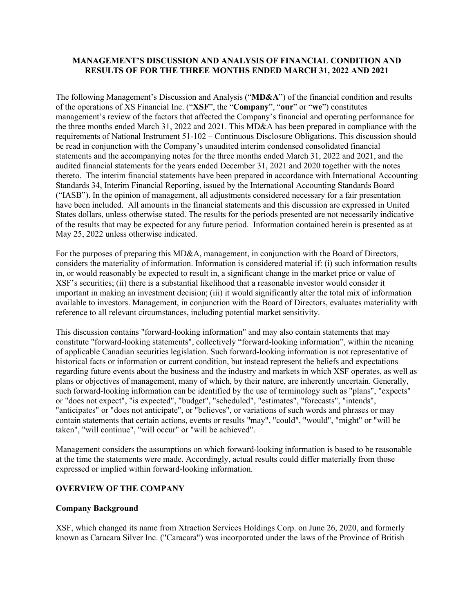## **MANAGEMENT'S DISCUSSION AND ANALYSIS OF FINANCIAL CONDITION AND RESULTS OF FOR THE THREE MONTHS ENDED MARCH 31, 2022 AND 2021**

The following Management's Discussion and Analysis ("**MD&A**") of the financial condition and results of the operations of XS Financial Inc. ("**XSF**", the "**Company**", "**our**" or "**we**") constitutes management's review of the factors that affected the Company's financial and operating performance for the three months ended March 31, 2022 and 2021. This MD&A has been prepared in compliance with the requirements of National Instrument 51-102 – Continuous Disclosure Obligations. This discussion should be read in conjunction with the Company's unaudited interim condensed consolidated financial statements and the accompanying notes for the three months ended March 31, 2022 and 2021, and the audited financial statements for the years ended December 31, 2021 and 2020 together with the notes thereto. The interim financial statements have been prepared in accordance with International Accounting Standards 34, Interim Financial Reporting, issued by the International Accounting Standards Board ("IASB"). In the opinion of management, all adjustments considered necessary for a fair presentation have been included. All amounts in the financial statements and this discussion are expressed in United States dollars, unless otherwise stated. The results for the periods presented are not necessarily indicative of the results that may be expected for any future period. Information contained herein is presented as at May 25, 2022 unless otherwise indicated.

For the purposes of preparing this MD&A, management, in conjunction with the Board of Directors, considers the materiality of information. Information is considered material if: (i) such information results in, or would reasonably be expected to result in, a significant change in the market price or value of XSF's securities; (ii) there is a substantial likelihood that a reasonable investor would consider it important in making an investment decision; (iii) it would significantly alter the total mix of information available to investors. Management, in conjunction with the Board of Directors, evaluates materiality with reference to all relevant circumstances, including potential market sensitivity.

This discussion contains "forward-looking information" and may also contain statements that may constitute "forward-looking statements", collectively "forward-looking information", within the meaning of applicable Canadian securities legislation. Such forward-looking information is not representative of historical facts or information or current condition, but instead represent the beliefs and expectations regarding future events about the business and the industry and markets in which XSF operates, as well as plans or objectives of management, many of which, by their nature, are inherently uncertain. Generally, such forward-looking information can be identified by the use of terminology such as "plans", "expects" or "does not expect", "is expected", "budget", "scheduled", "estimates", "forecasts", "intends", "anticipates" or "does not anticipate", or "believes", or variations of such words and phrases or may contain statements that certain actions, events or results "may", "could", "would", "might" or "will be taken", "will continue", "will occur" or "will be achieved".

Management considers the assumptions on which forward-looking information is based to be reasonable at the time the statements were made. Accordingly, actual results could differ materially from those expressed or implied within forward-looking information.

## **OVERVIEW OF THE COMPANY**

## **Company Background**

XSF, which changed its name from Xtraction Services Holdings Corp. on June 26, 2020, and formerly known as Caracara Silver Inc. ("Caracara") was incorporated under the laws of the Province of British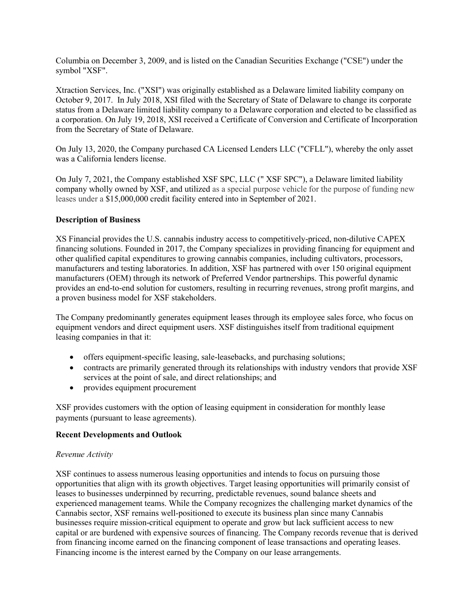Columbia on December 3, 2009, and is listed on the Canadian Securities Exchange ("CSE") under the symbol "XSF".

Xtraction Services, Inc. ("XSI") was originally established as a Delaware limited liability company on October 9, 2017. In July 2018, XSI filed with the Secretary of State of Delaware to change its corporate status from a Delaware limited liability company to a Delaware corporation and elected to be classified as a corporation. On July 19, 2018, XSI received a Certificate of Conversion and Certificate of Incorporation from the Secretary of State of Delaware.

On July 13, 2020, the Company purchased CA Licensed Lenders LLC ("CFLL"), whereby the only asset was a California lenders license.

On July 7, 2021, the Company established XSF SPC, LLC (" XSF SPC"), a Delaware limited liability company wholly owned by XSF, and utilized as a special purpose vehicle for the purpose of funding new leases under a \$15,000,000 credit facility entered into in September of 2021.

## **Description of Business**

XS Financial provides the U.S. cannabis industry access to competitively-priced, non-dilutive CAPEX financing solutions. Founded in 2017, the Company specializes in providing financing for equipment and other qualified capital expenditures to growing cannabis companies, including cultivators, processors, manufacturers and testing laboratories. In addition, XSF has partnered with over 150 original equipment manufacturers (OEM) through its network of Preferred Vendor partnerships. This powerful dynamic provides an end-to-end solution for customers, resulting in recurring revenues, strong profit margins, and a proven business model for XSF stakeholders.

The Company predominantly generates equipment leases through its employee sales force, who focus on equipment vendors and direct equipment users. XSF distinguishes itself from traditional equipment leasing companies in that it:

- offers equipment-specific leasing, sale-leasebacks, and purchasing solutions;
- contracts are primarily generated through its relationships with industry vendors that provide XSF services at the point of sale, and direct relationships; and
- provides equipment procurement

XSF provides customers with the option of leasing equipment in consideration for monthly lease payments (pursuant to lease agreements).

#### **Recent Developments and Outlook**

#### *Revenue Activity*

XSF continues to assess numerous leasing opportunities and intends to focus on pursuing those opportunities that align with its growth objectives. Target leasing opportunities will primarily consist of leases to businesses underpinned by recurring, predictable revenues, sound balance sheets and experienced management teams. While the Company recognizes the challenging market dynamics of the Cannabis sector, XSF remains well-positioned to execute its business plan since many Cannabis businesses require mission-critical equipment to operate and grow but lack sufficient access to new capital or are burdened with expensive sources of financing. The Company records revenue that is derived from financing income earned on the financing component of lease transactions and operating leases. Financing income is the interest earned by the Company on our lease arrangements.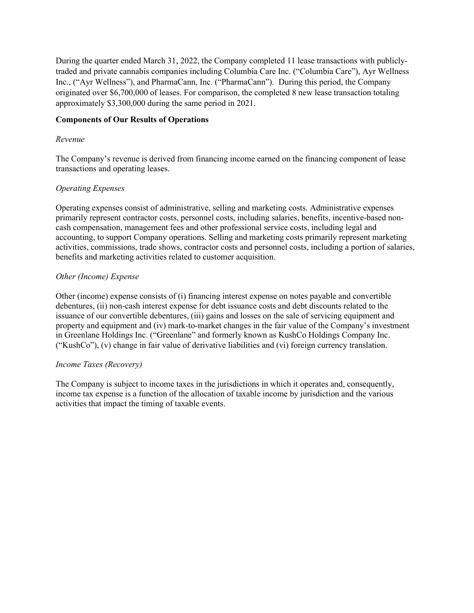During the quarter ended March 31, 2022, the Company completed 11 lease transactions with publiclytraded and private cannabis companies including Columbia Care Inc. ("Columbia Care"), Ayr Wellness Inc., ("Ayr Wellness"), and PharmaCann, Inc. ("PharmaCann"). During this period, the Company originated over \$6,700,000 of leases. For comparison, the completed 8 new lease transaction totaling approximately \$3,300,000 during the same period in 2021.

## **Components of Our Results of Operations**

## *Revenue*

The Company's revenue is derived from financing income earned on the financing component of lease transactions and operating leases.

# *Operating Expenses*

Operating expenses consist of administrative, selling and marketing costs. Administrative expenses primarily represent contractor costs, personnel costs, including salaries, benefits, incentive-based noncash compensation, management fees and other professional service costs, including legal and accounting, to support Company operations. Selling and marketing costs primarily represent marketing activities, commissions, trade shows, contractor costs and personnel costs, including a portion of salaries, benefits and marketing activities related to customer acquisition.

# *Other (Income) Expense*

Other (income) expense consists of (i) financing interest expense on notes payable and convertible debentures, (ii) non-cash interest expense for debt issuance costs and debt discounts related to the issuance of our convertible debentures, (iii) gains and losses on the sale of servicing equipment and property and equipment and (iv) mark-to-market changes in the fair value of the Company's investment in Greenlane Holdings Inc. ("Greenlane" and formerly known as KushCo Holdings Company Inc. ("KushCo"), (v) change in fair value of derivative liabilities and (vi) foreign currency translation.

## *Income Taxes (Recovery)*

The Company is subject to income taxes in the jurisdictions in which it operates and, consequently, income tax expense is a function of the allocation of taxable income by jurisdiction and the various activities that impact the timing of taxable events.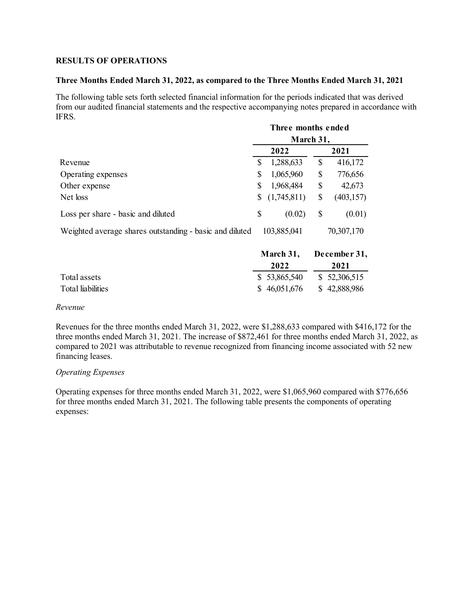#### **RESULTS OF OPERATIONS**

#### **Three Months Ended March 31, 2022, as compared to the Three Months Ended March 31, 2021**

The following table sets forth selected financial information for the periods indicated that was derived from our audited financial statements and the respective accompanying notes prepared in accordance with IFRS.

|                                                         | Three months ended<br>March 31, |             |            |              |
|---------------------------------------------------------|---------------------------------|-------------|------------|--------------|
|                                                         |                                 |             |            |              |
|                                                         |                                 | 2022        |            | 2021         |
| Revenue                                                 | \$                              | 1,288,633   | \$         | 416,172      |
| Operating expenses                                      | \$                              | 1,065,960   | \$         | 776,656      |
| Other expense                                           | \$                              | 1,968,484   | \$         | 42,673       |
| Net loss                                                | \$                              | (1,745,811) | \$         | (403, 157)   |
| Loss per share - basic and diluted                      | \$                              | (0.02)      | \$         | (0.01)       |
| Weighted average shares outstanding - basic and diluted | 103,885,041                     |             | 70,307,170 |              |
|                                                         |                                 | March 31,   |            | December 31, |

|                   |               | <b>March 31, December 31,</b> |  |  |
|-------------------|---------------|-------------------------------|--|--|
|                   | 2022          | 2021                          |  |  |
| Total assets      | \$ 53,865,540 | \$ 52,306,515                 |  |  |
| Total liabilities | \$46,051,676  | \$42,888,986                  |  |  |

#### *Revenue*

Revenues for the three months ended March 31, 2022, were \$1,288,633 compared with \$416,172 for the three months ended March 31, 2021. The increase of \$872,461 for three months ended March 31, 2022, as compared to 2021 was attributable to revenue recognized from financing income associated with 52 new financing leases.

#### *Operating Expenses*

Operating expenses for three months ended March 31, 2022, were \$1,065,960 compared with \$776,656 for three months ended March 31, 2021. The following table presents the components of operating expenses: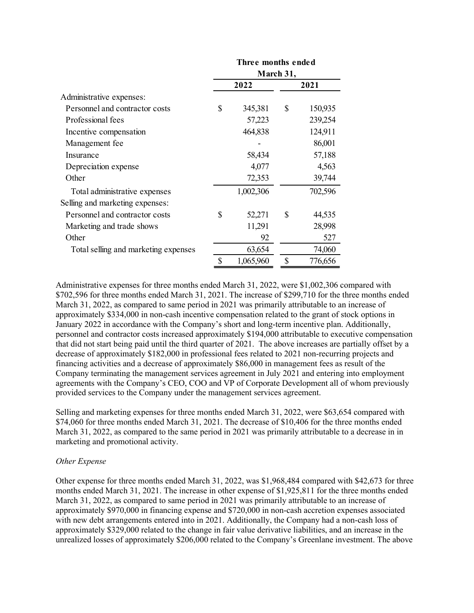|                                      | Three months ended<br>March 31, |           |      |         |  |
|--------------------------------------|---------------------------------|-----------|------|---------|--|
|                                      |                                 |           |      |         |  |
|                                      |                                 | 2022      | 2021 |         |  |
| Administrative expenses:             |                                 |           |      |         |  |
| Personnel and contractor costs       | \$                              | 345,381   | \$   | 150,935 |  |
| Professional fees                    |                                 | 57,223    |      | 239,254 |  |
| Incentive compensation               |                                 | 464,838   |      | 124,911 |  |
| Management fee                       |                                 |           |      | 86,001  |  |
| Insurance                            |                                 | 58,434    |      | 57,188  |  |
| Depreciation expense                 |                                 | 4,077     |      | 4,563   |  |
| Other                                |                                 | 72,353    |      | 39,744  |  |
| Total administrative expenses        |                                 | 1,002,306 |      | 702,596 |  |
| Selling and marketing expenses:      |                                 |           |      |         |  |
| Personnel and contractor costs       | \$                              | 52,271    | \$   | 44,535  |  |
| Marketing and trade shows            |                                 | 11,291    |      | 28,998  |  |
| Other                                |                                 | 92        |      | 527     |  |
| Total selling and marketing expenses |                                 | 63,654    |      | 74,060  |  |
|                                      | \$                              | 1,065,960 | \$   | 776,656 |  |

Administrative expenses for three months ended March 31, 2022, were \$1,002,306 compared with \$702,596 for three months ended March 31, 2021. The increase of \$299,710 for the three months ended March 31, 2022, as compared to same period in 2021 was primarily attributable to an increase of approximately \$334,000 in non-cash incentive compensation related to the grant of stock options in January 2022 in accordance with the Company's short and long-term incentive plan. Additionally, personnel and contractor costs increased approximately \$194,000 attributable to executive compensation that did not start being paid until the third quarter of 2021. The above increases are partially offset by a decrease of approximately \$182,000 in professional fees related to 2021 non-recurring projects and financing activities and a decrease of approximately \$86,000 in management fees as result of the Company terminating the management services agreement in July 2021 and entering into employment agreements with the Company's CEO, COO and VP of Corporate Development all of whom previously provided services to the Company under the management services agreement.

Selling and marketing expenses for three months ended March 31, 2022, were \$63,654 compared with \$74,060 for three months ended March 31, 2021. The decrease of \$10,406 for the three months ended March 31, 2022, as compared to the same period in 2021 was primarily attributable to a decrease in in marketing and promotional activity.

## *Other Expense*

Other expense for three months ended March 31, 2022, was \$1,968,484 compared with \$42,673 for three months ended March 31, 2021. The increase in other expense of \$1,925,811 for the three months ended March 31, 2022, as compared to same period in 2021 was primarily attributable to an increase of approximately \$970,000 in financing expense and \$720,000 in non-cash accretion expenses associated with new debt arrangements entered into in 2021. Additionally, the Company had a non-cash loss of approximately \$329,000 related to the change in fair value derivative liabilities, and an increase in the unrealized losses of approximately \$206,000 related to the Company's Greenlane investment. The above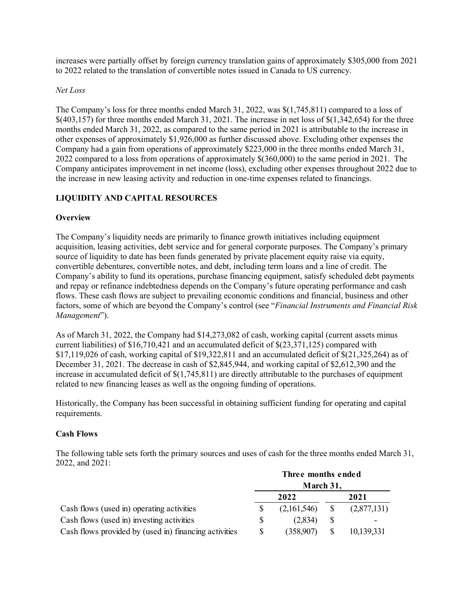increases were partially offset by foreign currency translation gains of approximately \$305,000 from 2021 to 2022 related to the translation of convertible notes issued in Canada to US currency.

## *Net Loss*

The Company's loss for three months ended March 31, 2022, was \$(1,745,811) compared to a loss of  $$(403,157)$  for three months ended March 31, 2021. The increase in net loss of  $$(1,342,654)$  for the three months ended March 31, 2022, as compared to the same period in 2021 is attributable to the increase in other expenses of approximately \$1,926,000 as further discussed above. Excluding other expenses the Company had a gain from operations of approximately \$223,000 in the three months ended March 31, 2022 compared to a loss from operations of approximately \$(360,000) to the same period in 2021. The Company anticipates improvement in net income (loss), excluding other expenses throughout 2022 due to the increase in new leasing activity and reduction in one-time expenses related to financings.

# **LIQUIDITY AND CAPITAL RESOURCES**

# **Overview**

The Company's liquidity needs are primarily to finance growth initiatives including equipment acquisition, leasing activities, debt service and for general corporate purposes. The Company's primary source of liquidity to date has been funds generated by private placement equity raise via equity, convertible debentures, convertible notes, and debt, including term loans and a line of credit. The Company's ability to fund its operations, purchase financing equipment, satisfy scheduled debt payments and repay or refinance indebtedness depends on the Company's future operating performance and cash flows. These cash flows are subject to prevailing economic conditions and financial, business and other factors, some of which are beyond the Company's control (see "*Financial Instruments and Financial Risk Management*").

As of March 31, 2022, the Company had \$14,273,082 of cash, working capital (current assets minus current liabilities) of \$16,710,421 and an accumulated deficit of \$(23,371,125) compared with \$17,119,026 of cash, working capital of \$19,322,811 and an accumulated deficit of \$(21,325,264) as of December 31, 2021. The decrease in cash of \$2,845,944, and working capital of \$2,612,390 and the increase in accumulated deficit of \$(1,745,811) are directly attributable to the purchases of equipment related to new financing leases as well as the ongoing funding of operations.

Historically, the Company has been successful in obtaining sufficient funding for operating and capital requirements.

# **Cash Flows**

The following table sets forth the primary sources and uses of cash for the three months ended March 31, 2022, and 2021:

|                                                       | Three months ended<br>March 31, |             |   |             |
|-------------------------------------------------------|---------------------------------|-------------|---|-------------|
|                                                       |                                 |             |   |             |
|                                                       |                                 | 2022        |   | 2021        |
| Cash flows (used in) operating activities             |                                 | (2,161,546) | S | (2,877,131) |
| Cash flows (used in) investing activities             |                                 | (2,834)     | S |             |
| Cash flows provided by (used in) financing activities |                                 | (358,907)   |   | 10,139,331  |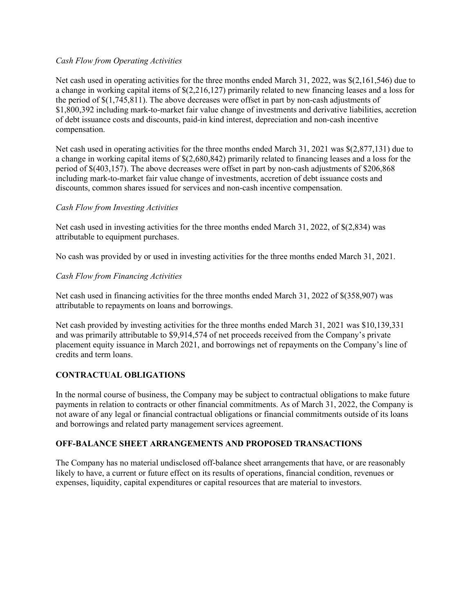## *Cash Flow from Operating Activities*

Net cash used in operating activities for the three months ended March 31, 2022, was \$(2,161,546) due to a change in working capital items of \$(2,216,127) primarily related to new financing leases and a loss for the period of \$(1,745,811). The above decreases were offset in part by non-cash adjustments of \$1,800,392 including mark-to-market fair value change of investments and derivative liabilities, accretion of debt issuance costs and discounts, paid-in kind interest, depreciation and non-cash incentive compensation.

Net cash used in operating activities for the three months ended March 31, 2021 was \$(2,877,131) due to a change in working capital items of \$(2,680,842) primarily related to financing leases and a loss for the period of \$(403,157). The above decreases were offset in part by non-cash adjustments of \$206,868 including mark-to-market fair value change of investments, accretion of debt issuance costs and discounts, common shares issued for services and non-cash incentive compensation.

# *Cash Flow from Investing Activities*

Net cash used in investing activities for the three months ended March 31, 2022, of \$(2,834) was attributable to equipment purchases.

No cash was provided by or used in investing activities for the three months ended March 31, 2021.

# *Cash Flow from Financing Activities*

Net cash used in financing activities for the three months ended March 31, 2022 of \$(358,907) was attributable to repayments on loans and borrowings.

Net cash provided by investing activities for the three months ended March 31, 2021 was \$10,139,331 and was primarily attributable to \$9,914,574 of net proceeds received from the Company's private placement equity issuance in March 2021, and borrowings net of repayments on the Company's line of credits and term loans.

# **CONTRACTUAL OBLIGATIONS**

In the normal course of business, the Company may be subject to contractual obligations to make future payments in relation to contracts or other financial commitments. As of March 31, 2022, the Company is not aware of any legal or financial contractual obligations or financial commitments outside of its loans and borrowings and related party management services agreement.

# **OFF-BALANCE SHEET ARRANGEMENTS AND PROPOSED TRANSACTIONS**

The Company has no material undisclosed off-balance sheet arrangements that have, or are reasonably likely to have, a current or future effect on its results of operations, financial condition, revenues or expenses, liquidity, capital expenditures or capital resources that are material to investors.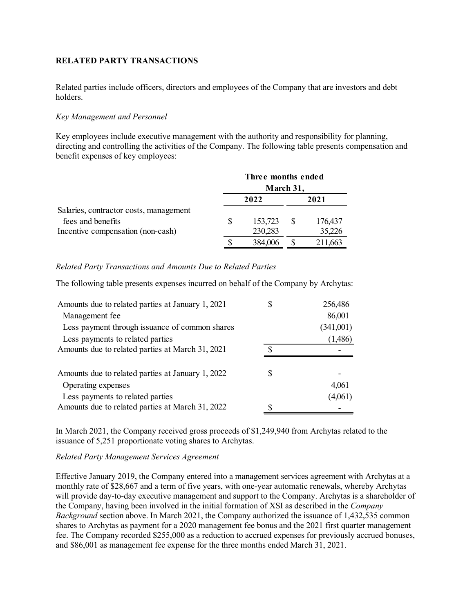# **RELATED PARTY TRANSACTIONS**

Related parties include officers, directors and employees of the Company that are investors and debt holders.

## *Key Management and Personnel*

Key employees include executive management with the authority and responsibility for planning, directing and controlling the activities of the Company. The following table presents compensation and benefit expenses of key employees:

|                                        | Three months ended<br>March 31, |         |  |         |
|----------------------------------------|---------------------------------|---------|--|---------|
|                                        |                                 | 2022    |  | 2021    |
| Salaries, contractor costs, management |                                 |         |  |         |
| fees and benefits                      | S                               | 153,723 |  | 176,437 |
| Incentive compensation (non-cash)      |                                 | 230,283 |  | 35,226  |
|                                        |                                 | 384,006 |  | 211,663 |

## *Related Party Transactions and Amounts Due to Related Parties*

The following table presents expenses incurred on behalf of the Company by Archytas:

| Amounts due to related parties at January 1, 2021 | 256,486   |
|---------------------------------------------------|-----------|
| Management fee                                    | 86,001    |
| Less payment through issuance of common shares    | (341,001) |
| Less payments to related parties                  | (1,486)   |
| Amounts due to related parties at March 31, 2021  |           |
| Amounts due to related parties at January 1, 2022 |           |
| Operating expenses                                | 4,061     |
| Less payments to related parties                  | (4,061)   |
| Amounts due to related parties at March 31, 2022  |           |

In March 2021, the Company received gross proceeds of \$1,249,940 from Archytas related to the issuance of 5,251 proportionate voting shares to Archytas.

#### *Related Party Management Services Agreement*

Effective January 2019, the Company entered into a management services agreement with Archytas at a monthly rate of \$28,667 and a term of five years, with one-year automatic renewals, whereby Archytas will provide day-to-day executive management and support to the Company. Archytas is a shareholder of the Company, having been involved in the initial formation of XSI as described in the *Company Background* section above. In March 2021, the Company authorized the issuance of 1,432,535 common shares to Archytas as payment for a 2020 management fee bonus and the 2021 first quarter management fee. The Company recorded \$255,000 as a reduction to accrued expenses for previously accrued bonuses, and \$86,001 as management fee expense for the three months ended March 31, 2021.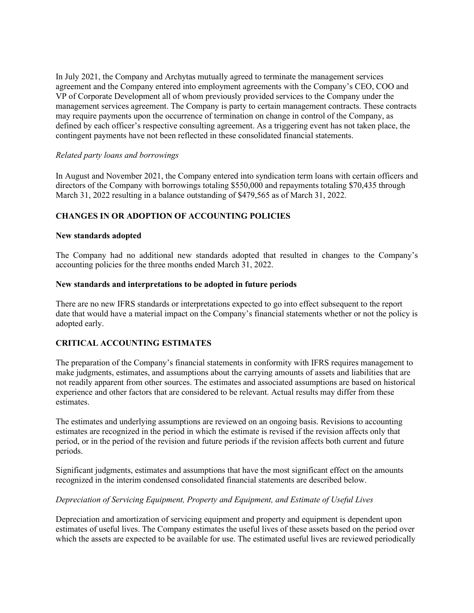In July 2021, the Company and Archytas mutually agreed to terminate the management services agreement and the Company entered into employment agreements with the Company's CEO, COO and VP of Corporate Development all of whom previously provided services to the Company under the management services agreement. The Company is party to certain management contracts. These contracts may require payments upon the occurrence of termination on change in control of the Company, as defined by each officer's respective consulting agreement. As a triggering event has not taken place, the contingent payments have not been reflected in these consolidated financial statements.

## *Related party loans and borrowings*

In August and November 2021, the Company entered into syndication term loans with certain officers and directors of the Company with borrowings totaling \$550,000 and repayments totaling \$70,435 through March 31, 2022 resulting in a balance outstanding of \$479,565 as of March 31, 2022.

## **CHANGES IN OR ADOPTION OF ACCOUNTING POLICIES**

#### **New standards adopted**

The Company had no additional new standards adopted that resulted in changes to the Company's accounting policies for the three months ended March 31, 2022.

#### **New standards and interpretations to be adopted in future periods**

There are no new IFRS standards or interpretations expected to go into effect subsequent to the report date that would have a material impact on the Company's financial statements whether or not the policy is adopted early.

## **CRITICAL ACCOUNTING ESTIMATES**

The preparation of the Company's financial statements in conformity with IFRS requires management to make judgments, estimates, and assumptions about the carrying amounts of assets and liabilities that are not readily apparent from other sources. The estimates and associated assumptions are based on historical experience and other factors that are considered to be relevant. Actual results may differ from these estimates.

The estimates and underlying assumptions are reviewed on an ongoing basis. Revisions to accounting estimates are recognized in the period in which the estimate is revised if the revision affects only that period, or in the period of the revision and future periods if the revision affects both current and future periods.

Significant judgments, estimates and assumptions that have the most significant effect on the amounts recognized in the interim condensed consolidated financial statements are described below.

## *Depreciation of Servicing Equipment, Property and Equipment, and Estimate of Useful Lives*

Depreciation and amortization of servicing equipment and property and equipment is dependent upon estimates of useful lives. The Company estimates the useful lives of these assets based on the period over which the assets are expected to be available for use. The estimated useful lives are reviewed periodically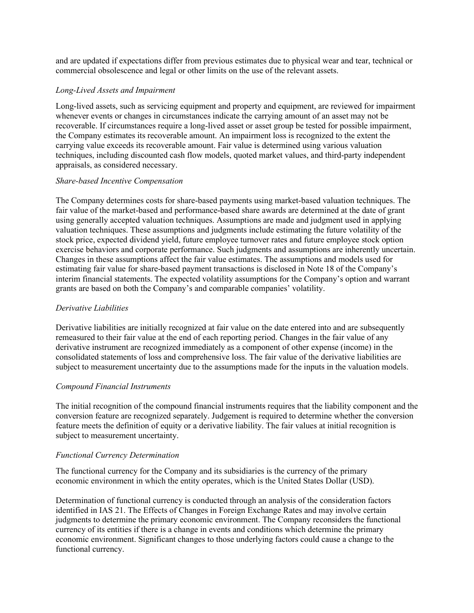and are updated if expectations differ from previous estimates due to physical wear and tear, technical or commercial obsolescence and legal or other limits on the use of the relevant assets.

#### *Long-Lived Assets and Impairment*

Long-lived assets, such as servicing equipment and property and equipment, are reviewed for impairment whenever events or changes in circumstances indicate the carrying amount of an asset may not be recoverable. If circumstances require a long-lived asset or asset group be tested for possible impairment, the Company estimates its recoverable amount. An impairment loss is recognized to the extent the carrying value exceeds its recoverable amount. Fair value is determined using various valuation techniques, including discounted cash flow models, quoted market values, and third-party independent appraisals, as considered necessary.

#### *Share-based Incentive Compensation*

The Company determines costs for share-based payments using market-based valuation techniques. The fair value of the market-based and performance-based share awards are determined at the date of grant using generally accepted valuation techniques. Assumptions are made and judgment used in applying valuation techniques. These assumptions and judgments include estimating the future volatility of the stock price, expected dividend yield, future employee turnover rates and future employee stock option exercise behaviors and corporate performance. Such judgments and assumptions are inherently uncertain. Changes in these assumptions affect the fair value estimates. The assumptions and models used for estimating fair value for share-based payment transactions is disclosed in Note 18 of the Company's interim financial statements. The expected volatility assumptions for the Company's option and warrant grants are based on both the Company's and comparable companies' volatility.

#### *Derivative Liabilities*

Derivative liabilities are initially recognized at fair value on the date entered into and are subsequently remeasured to their fair value at the end of each reporting period. Changes in the fair value of any derivative instrument are recognized immediately as a component of other expense (income) in the consolidated statements of loss and comprehensive loss. The fair value of the derivative liabilities are subject to measurement uncertainty due to the assumptions made for the inputs in the valuation models.

## *Compound Financial Instruments*

The initial recognition of the compound financial instruments requires that the liability component and the conversion feature are recognized separately. Judgement is required to determine whether the conversion feature meets the definition of equity or a derivative liability. The fair values at initial recognition is subject to measurement uncertainty.

## *Functional Currency Determination*

The functional currency for the Company and its subsidiaries is the currency of the primary economic environment in which the entity operates, which is the United States Dollar (USD).

Determination of functional currency is conducted through an analysis of the consideration factors identified in IAS 21. The Effects of Changes in Foreign Exchange Rates and may involve certain judgments to determine the primary economic environment. The Company reconsiders the functional currency of its entities if there is a change in events and conditions which determine the primary economic environment. Significant changes to those underlying factors could cause a change to the functional currency.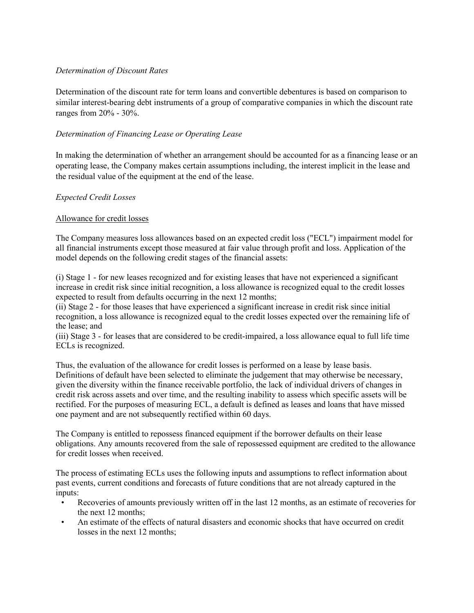# *Determination of Discount Rates*

Determination of the discount rate for term loans and convertible debentures is based on comparison to similar interest-bearing debt instruments of a group of comparative companies in which the discount rate ranges from 20% - 30%.

# *Determination of Financing Lease or Operating Lease*

In making the determination of whether an arrangement should be accounted for as a financing lease or an operating lease, the Company makes certain assumptions including, the interest implicit in the lease and the residual value of the equipment at the end of the lease.

## *Expected Credit Losses*

## Allowance for credit losses

The Company measures loss allowances based on an expected credit loss ("ECL") impairment model for all financial instruments except those measured at fair value through profit and loss. Application of the model depends on the following credit stages of the financial assets:

(i) Stage 1 - for new leases recognized and for existing leases that have not experienced a significant increase in credit risk since initial recognition, a loss allowance is recognized equal to the credit losses expected to result from defaults occurring in the next 12 months;

(ii) Stage 2 - for those leases that have experienced a significant increase in credit risk since initial recognition, a loss allowance is recognized equal to the credit losses expected over the remaining life of the lease; and

(iii) Stage 3 - for leases that are considered to be credit-impaired, a loss allowance equal to full life time ECLs is recognized.

Thus, the evaluation of the allowance for credit losses is performed on a lease by lease basis. Definitions of default have been selected to eliminate the judgement that may otherwise be necessary, given the diversity within the finance receivable portfolio, the lack of individual drivers of changes in credit risk across assets and over time, and the resulting inability to assess which specific assets will be rectified. For the purposes of measuring ECL, a default is defined as leases and loans that have missed one payment and are not subsequently rectified within 60 days.

The Company is entitled to repossess financed equipment if the borrower defaults on their lease obligations. Any amounts recovered from the sale of repossessed equipment are credited to the allowance for credit losses when received.

The process of estimating ECLs uses the following inputs and assumptions to reflect information about past events, current conditions and forecasts of future conditions that are not already captured in the inputs:

- Recoveries of amounts previously written off in the last 12 months, as an estimate of recoveries for the next 12 months;
- An estimate of the effects of natural disasters and economic shocks that have occurred on credit losses in the next 12 months;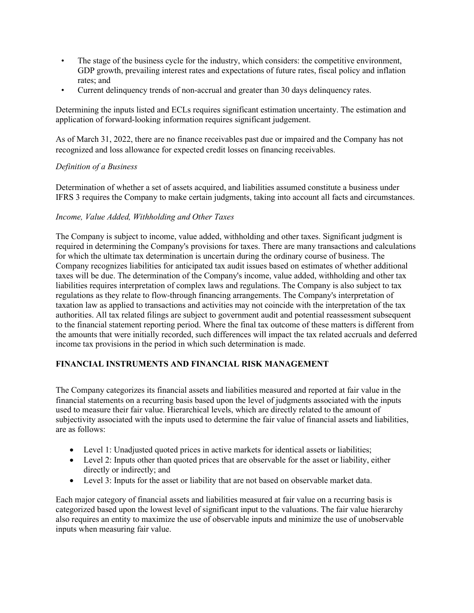- The stage of the business cycle for the industry, which considers: the competitive environment, GDP growth, prevailing interest rates and expectations of future rates, fiscal policy and inflation rates; and
- Current delinquency trends of non-accrual and greater than 30 days delinquency rates.

Determining the inputs listed and ECLs requires significant estimation uncertainty. The estimation and application of forward-looking information requires significant judgement.

As of March 31, 2022, there are no finance receivables past due or impaired and the Company has not recognized and loss allowance for expected credit losses on financing receivables.

# *Definition of a Business*

Determination of whether a set of assets acquired, and liabilities assumed constitute a business under IFRS 3 requires the Company to make certain judgments, taking into account all facts and circumstances.

# *Income, Value Added, Withholding and Other Taxes*

The Company is subject to income, value added, withholding and other taxes. Significant judgment is required in determining the Company's provisions for taxes. There are many transactions and calculations for which the ultimate tax determination is uncertain during the ordinary course of business. The Company recognizes liabilities for anticipated tax audit issues based on estimates of whether additional taxes will be due. The determination of the Company's income, value added, withholding and other tax liabilities requires interpretation of complex laws and regulations. The Company is also subject to tax regulations as they relate to flow-through financing arrangements. The Company's interpretation of taxation law as applied to transactions and activities may not coincide with the interpretation of the tax authorities. All tax related filings are subject to government audit and potential reassessment subsequent to the financial statement reporting period. Where the final tax outcome of these matters is different from the amounts that were initially recorded, such differences will impact the tax related accruals and deferred income tax provisions in the period in which such determination is made.

# **FINANCIAL INSTRUMENTS AND FINANCIAL RISK MANAGEMENT**

The Company categorizes its financial assets and liabilities measured and reported at fair value in the financial statements on a recurring basis based upon the level of judgments associated with the inputs used to measure their fair value. Hierarchical levels, which are directly related to the amount of subjectivity associated with the inputs used to determine the fair value of financial assets and liabilities, are as follows:

- Level 1: Unadjusted quoted prices in active markets for identical assets or liabilities;
- Level 2: Inputs other than quoted prices that are observable for the asset or liability, either directly or indirectly; and
- Level 3: Inputs for the asset or liability that are not based on observable market data.

Each major category of financial assets and liabilities measured at fair value on a recurring basis is categorized based upon the lowest level of significant input to the valuations. The fair value hierarchy also requires an entity to maximize the use of observable inputs and minimize the use of unobservable inputs when measuring fair value.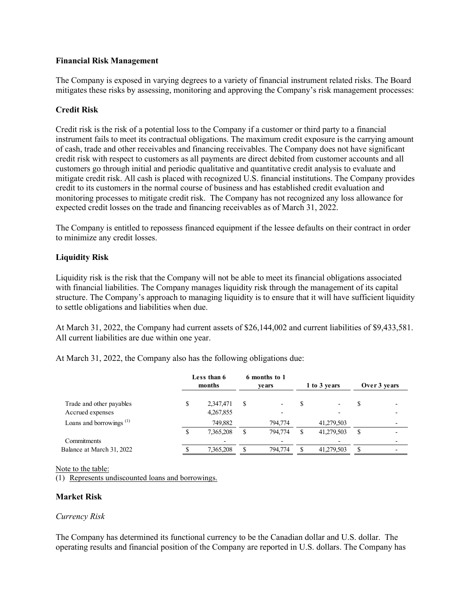## **Financial Risk Management**

The Company is exposed in varying degrees to a variety of financial instrument related risks. The Board mitigates these risks by assessing, monitoring and approving the Company's risk management processes:

## **Credit Risk**

Credit risk is the risk of a potential loss to the Company if a customer or third party to a financial instrument fails to meet its contractual obligations. The maximum credit exposure is the carrying amount of cash, trade and other receivables and financing receivables. The Company does not have significant credit risk with respect to customers as all payments are direct debited from customer accounts and all customers go through initial and periodic qualitative and quantitative credit analysis to evaluate and mitigate credit risk. All cash is placed with recognized U.S. financial institutions. The Company provides credit to its customers in the normal course of business and has established credit evaluation and monitoring processes to mitigate credit risk. The Company has not recognized any loss allowance for expected credit losses on the trade and financing receivables as of March 31, 2022.

The Company is entitled to repossess financed equipment if the lessee defaults on their contract in order to minimize any credit losses.

## **Liquidity Risk**

Liquidity risk is the risk that the Company will not be able to meet its financial obligations associated with financial liabilities. The Company manages liquidity risk through the management of its capital structure. The Company's approach to managing liquidity is to ensure that it will have sufficient liquidity to settle obligations and liabilities when due.

At March 31, 2022, the Company had current assets of \$26,144,002 and current liabilities of \$9,433,581. All current liabilities are due within one year.

At March 31, 2022, the Company also has the following obligations due:

|                                     | Less than 6<br>months |   | 6 months to 1<br><b>ve ars</b> |   | 1 to 3 years |   | Over 3 years |
|-------------------------------------|-----------------------|---|--------------------------------|---|--------------|---|--------------|
| Trade and other payables            | 2,347,471             | S |                                |   |              | S |              |
| Accrued expenses                    | 4,267,855             |   |                                |   |              |   |              |
| Loans and borrowings <sup>(1)</sup> | 749,882               |   | 794,774                        |   | 41,279,503   |   |              |
|                                     | 7,365,208             |   | 794,774                        | S | 41,279,503   | S |              |
| Commitments                         |                       |   |                                |   |              |   |              |
| Balance at March 31, 2022           | 7,365,208             |   | 794,774                        |   | 41,279,503   | S |              |

Note to the table:

(1) Represents undiscounted loans and borrowings.

## **Market Risk**

## *Currency Risk*

The Company has determined its functional currency to be the Canadian dollar and U.S. dollar. The operating results and financial position of the Company are reported in U.S. dollars. The Company has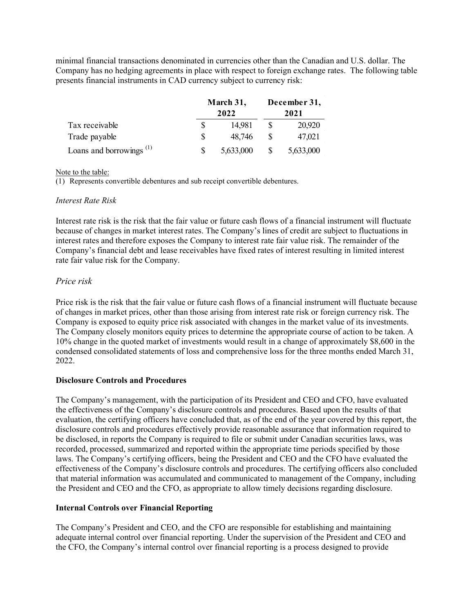minimal financial transactions denominated in currencies other than the Canadian and U.S. dollar. The Company has no hedging agreements in place with respect to foreign exchange rates. The following table presents financial instruments in CAD currency subject to currency risk:

|                               | March 31,<br>2022 | December 31,<br>2021 |           |  |
|-------------------------------|-------------------|----------------------|-----------|--|
| Tax receivable                | 14.981            |                      | 20,920    |  |
| Trade payable                 | 48,746            |                      | 47,021    |  |
| Loans and borrowings $^{(1)}$ | 5,633,000         |                      | 5,633,000 |  |

Note to the table:

(1) Represents convertible debentures and sub receipt convertible debentures.

## *Interest Rate Risk*

Interest rate risk is the risk that the fair value or future cash flows of a financial instrument will fluctuate because of changes in market interest rates. The Company's lines of credit are subject to fluctuations in interest rates and therefore exposes the Company to interest rate fair value risk. The remainder of the Company's financial debt and lease receivables have fixed rates of interest resulting in limited interest rate fair value risk for the Company.

# *Price risk*

Price risk is the risk that the fair value or future cash flows of a financial instrument will fluctuate because of changes in market prices, other than those arising from interest rate risk or foreign currency risk. The Company is exposed to equity price risk associated with changes in the market value of its investments. The Company closely monitors equity prices to determine the appropriate course of action to be taken. A 10% change in the quoted market of investments would result in a change of approximately \$8,600 in the condensed consolidated statements of loss and comprehensive loss for the three months ended March 31, 2022.

# **Disclosure Controls and Procedures**

The Company's management, with the participation of its President and CEO and CFO, have evaluated the effectiveness of the Company's disclosure controls and procedures. Based upon the results of that evaluation, the certifying officers have concluded that, as of the end of the year covered by this report, the disclosure controls and procedures effectively provide reasonable assurance that information required to be disclosed, in reports the Company is required to file or submit under Canadian securities laws, was recorded, processed, summarized and reported within the appropriate time periods specified by those laws. The Company's certifying officers, being the President and CEO and the CFO have evaluated the effectiveness of the Company's disclosure controls and procedures. The certifying officers also concluded that material information was accumulated and communicated to management of the Company, including the President and CEO and the CFO, as appropriate to allow timely decisions regarding disclosure.

# **Internal Controls over Financial Reporting**

The Company's President and CEO, and the CFO are responsible for establishing and maintaining adequate internal control over financial reporting. Under the supervision of the President and CEO and the CFO, the Company's internal control over financial reporting is a process designed to provide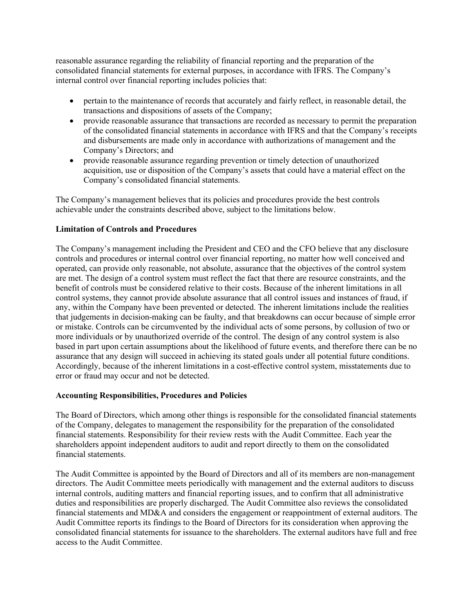reasonable assurance regarding the reliability of financial reporting and the preparation of the consolidated financial statements for external purposes, in accordance with IFRS. The Company's internal control over financial reporting includes policies that:

- pertain to the maintenance of records that accurately and fairly reflect, in reasonable detail, the transactions and dispositions of assets of the Company;
- provide reasonable assurance that transactions are recorded as necessary to permit the preparation of the consolidated financial statements in accordance with IFRS and that the Company's receipts and disbursements are made only in accordance with authorizations of management and the Company's Directors; and
- provide reasonable assurance regarding prevention or timely detection of unauthorized acquisition, use or disposition of the Company's assets that could have a material effect on the Company's consolidated financial statements.

The Company's management believes that its policies and procedures provide the best controls achievable under the constraints described above, subject to the limitations below.

## **Limitation of Controls and Procedures**

The Company's management including the President and CEO and the CFO believe that any disclosure controls and procedures or internal control over financial reporting, no matter how well conceived and operated, can provide only reasonable, not absolute, assurance that the objectives of the control system are met. The design of a control system must reflect the fact that there are resource constraints, and the benefit of controls must be considered relative to their costs. Because of the inherent limitations in all control systems, they cannot provide absolute assurance that all control issues and instances of fraud, if any, within the Company have been prevented or detected. The inherent limitations include the realities that judgements in decision-making can be faulty, and that breakdowns can occur because of simple error or mistake. Controls can be circumvented by the individual acts of some persons, by collusion of two or more individuals or by unauthorized override of the control. The design of any control system is also based in part upon certain assumptions about the likelihood of future events, and therefore there can be no assurance that any design will succeed in achieving its stated goals under all potential future conditions. Accordingly, because of the inherent limitations in a cost-effective control system, misstatements due to error or fraud may occur and not be detected.

## **Accounting Responsibilities, Procedures and Policies**

The Board of Directors, which among other things is responsible for the consolidated financial statements of the Company, delegates to management the responsibility for the preparation of the consolidated financial statements. Responsibility for their review rests with the Audit Committee. Each year the shareholders appoint independent auditors to audit and report directly to them on the consolidated financial statements.

The Audit Committee is appointed by the Board of Directors and all of its members are non-management directors. The Audit Committee meets periodically with management and the external auditors to discuss internal controls, auditing matters and financial reporting issues, and to confirm that all administrative duties and responsibilities are properly discharged. The Audit Committee also reviews the consolidated financial statements and MD&A and considers the engagement or reappointment of external auditors. The Audit Committee reports its findings to the Board of Directors for its consideration when approving the consolidated financial statements for issuance to the shareholders. The external auditors have full and free access to the Audit Committee.